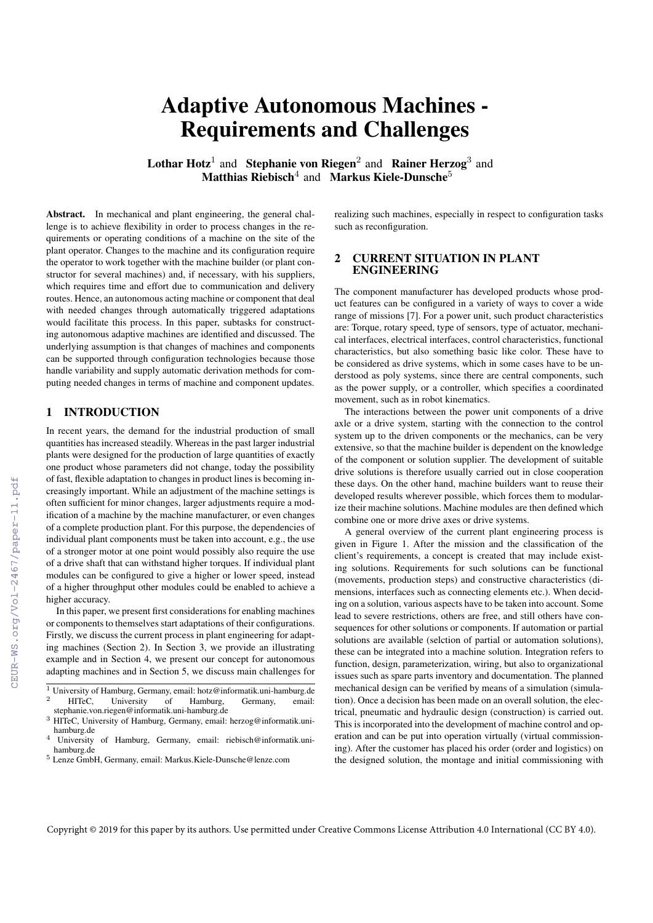# Adaptive Autonomous Machines - Requirements and Challenges

Lothar Hotz<sup>1</sup> and Stephanie von Riegen<sup>2</sup> and Rainer Herzog<sup>3</sup> and Matthias Riebisch<sup>4</sup> and Markus Kiele-Dunsche<sup>5</sup>

Abstract. In mechanical and plant engineering, the general challenge is to achieve flexibility in order to process changes in the requirements or operating conditions of a machine on the site of the plant operator. Changes to the machine and its configuration require the operator to work together with the machine builder (or plant constructor for several machines) and, if necessary, with his suppliers, which requires time and effort due to communication and delivery routes. Hence, an autonomous acting machine or component that deal with needed changes through automatically triggered adaptations would facilitate this process. In this paper, subtasks for constructing autonomous adaptive machines are identified and discussed. The underlying assumption is that changes of machines and components can be supported through configuration technologies because those handle variability and supply automatic derivation methods for computing needed changes in terms of machine and component updates.

## 1 INTRODUCTION

In recent years, the demand for the industrial production of small quantities has increased steadily. Whereas in the past larger industrial plants were designed for the production of large quantities of exactly one product whose parameters did not change, today the possibility of fast, flexible adaptation to changes in product lines is becoming increasingly important. While an adjustment of the machine settings is often sufficient for minor changes, larger adjustments require a modification of a machine by the machine manufacturer, or even changes of a complete production plant. For this purpose, the dependencies of individual plant components must be taken into account, e.g., the use of a stronger motor at one point would possibly also require the use of a drive shaft that can withstand higher torques. If individual plant modules can be configured to give a higher or lower speed, instead of a higher throughput other modules could be enabled to achieve a higher accuracy.

In this paper, we present first considerations for enabling machines or components to themselves start adaptations of their configurations. Firstly, we discuss the current process in plant engineering for adapting machines (Section [2\)](#page-0-0). In Section [3,](#page--1-0) we provide an illustrating example and in Section [4,](#page--1-1) we present our concept for autonomous adapting machines and in Section [5,](#page--1-2) we discuss main challenges for

<sup>1</sup> University of Hamburg, Germany, email: hotz@informatik.uni-hamburg.de<br><sup>2</sup> HITeC, University of Hamburg, Germany, email: University of Hamburg, Germany, email: stephanie.von.riegen@informatik.uni-hamburg.de

realizing such machines, especially in respect to configuration tasks such as reconfiguration.

## <span id="page-0-0"></span>2 CURRENT SITUATION IN PLANT ENGINEERING

The component manufacturer has developed products whose product features can be configured in a variety of ways to cover a wide range of missions [\[7\]](#page--1-3). For a power unit, such product characteristics are: Torque, rotary speed, type of sensors, type of actuator, mechanical interfaces, electrical interfaces, control characteristics, functional characteristics, but also something basic like color. These have to be considered as drive systems, which in some cases have to be understood as poly systems, since there are central components, such as the power supply, or a controller, which specifies a coordinated movement, such as in robot kinematics.

The interactions between the power unit components of a drive axle or a drive system, starting with the connection to the control system up to the driven components or the mechanics, can be very extensive, so that the machine builder is dependent on the knowledge of the component or solution supplier. The development of suitable drive solutions is therefore usually carried out in close cooperation these days. On the other hand, machine builders want to reuse their developed results wherever possible, which forces them to modularize their machine solutions. Machine modules are then defined which combine one or more drive axes or drive systems.

A general overview of the current plant engineering process is given in Figure [1.](#page--1-4) After the mission and the classification of the client's requirements, a concept is created that may include existing solutions. Requirements for such solutions can be functional (movements, production steps) and constructive characteristics (dimensions, interfaces such as connecting elements etc.). When deciding on a solution, various aspects have to be taken into account. Some lead to severe restrictions, others are free, and still others have consequences for other solutions or components. If automation or partial solutions are available (selction of partial or automation solutions), these can be integrated into a machine solution. Integration refers to function, design, parameterization, wiring, but also to organizational issues such as spare parts inventory and documentation. The planned mechanical design can be verified by means of a simulation (simulation). Once a decision has been made on an overall solution, the electrical, pneumatic and hydraulic design (construction) is carried out. This is incorporated into the development of machine control and operation and can be put into operation virtually (virtual commissioning). After the customer has placed his order (order and logistics) on the designed solution, the montage and initial commissioning with

Copyright © 2019 for this paper by its authors. Use permitted under Creative Commons License Attribution 4.0 International (CC BY 4.0).

<sup>&</sup>lt;sup>3</sup> HITeC, University of Hamburg, Germany, email: herzog@informatik.uni-

hamburg.de<br>4 University of Hamburg, Germany, email: riebisch@informatik.unihamburg.de

<sup>5</sup> Lenze GmbH, Germany, email: Markus.Kiele-Dunsche@lenze.com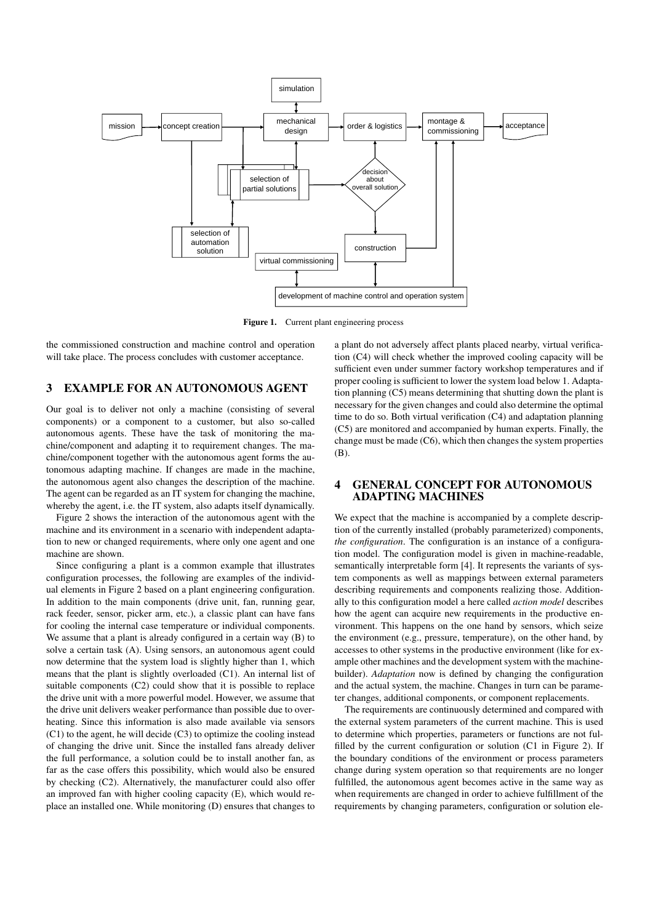

Figure 1. Current plant engineering process

the commissioned construction and machine control and operation will take place. The process concludes with customer acceptance.

# 3 EXAMPLE FOR AN AUTONOMOUS AGENT

Our goal is to deliver not only a machine (consisting of several components) or a component to a customer, but also so-called autonomous agents. These have the task of monitoring the machine/component and adapting it to requirement changes. The machine/component together with the autonomous agent forms the autonomous adapting machine. If changes are made in the machine, the autonomous agent also changes the description of the machine. The agent can be regarded as an IT system for changing the machine, whereby the agent, i.e. the IT system, also adapts itself dynamically.

Figure [2](#page-2-0) shows the interaction of the autonomous agent with the machine and its environment in a scenario with independent adaptation to new or changed requirements, where only one agent and one machine are shown.

Since configuring a plant is a common example that illustrates configuration processes, the following are examples of the individual elements in Figure [2](#page-2-0) based on a plant engineering configuration. In addition to the main components (drive unit, fan, running gear, rack feeder, sensor, picker arm, etc.), a classic plant can have fans for cooling the internal case temperature or individual components. We assume that a plant is already configured in a certain way (B) to solve a certain task (A). Using sensors, an autonomous agent could now determine that the system load is slightly higher than 1, which means that the plant is slightly overloaded (C1). An internal list of suitable components (C2) could show that it is possible to replace the drive unit with a more powerful model. However, we assume that the drive unit delivers weaker performance than possible due to overheating. Since this information is also made available via sensors (C1) to the agent, he will decide (C3) to optimize the cooling instead of changing the drive unit. Since the installed fans already deliver the full performance, a solution could be to install another fan, as far as the case offers this possibility, which would also be ensured by checking (C2). Alternatively, the manufacturer could also offer an improved fan with higher cooling capacity (E), which would replace an installed one. While monitoring (D) ensures that changes to a plant do not adversely affect plants placed nearby, virtual verification (C4) will check whether the improved cooling capacity will be sufficient even under summer factory workshop temperatures and if proper cooling is sufficient to lower the system load below 1. Adaptation planning (C5) means determining that shutting down the plant is necessary for the given changes and could also determine the optimal time to do so. Both virtual verification (C4) and adaptation planning (C5) are monitored and accompanied by human experts. Finally, the change must be made (C6), which then changes the system properties  $(R)$ 

### 4 GENERAL CONCEPT FOR AUTONOMOUS ADAPTING MACHINES

We expect that the machine is accompanied by a complete description of the currently installed (probably parameterized) components, *the configuration*. The configuration is an instance of a configuration model. The configuration model is given in machine-readable, semantically interpretable form [\[4\]](#page-3-0). It represents the variants of system components as well as mappings between external parameters describing requirements and components realizing those. Additionally to this configuration model a here called *action model* describes how the agent can acquire new requirements in the productive environment. This happens on the one hand by sensors, which seize the environment (e.g., pressure, temperature), on the other hand, by accesses to other systems in the productive environment (like for example other machines and the development system with the machinebuilder). *Adaptation* now is defined by changing the configuration and the actual system, the machine. Changes in turn can be parameter changes, additional components, or component replacements.

The requirements are continuously determined and compared with the external system parameters of the current machine. This is used to determine which properties, parameters or functions are not fulfilled by the current configuration or solution (C1 in Figure [2\)](#page-2-0). If the boundary conditions of the environment or process parameters change during system operation so that requirements are no longer fulfilled, the autonomous agent becomes active in the same way as when requirements are changed in order to achieve fulfillment of the requirements by changing parameters, configuration or solution ele-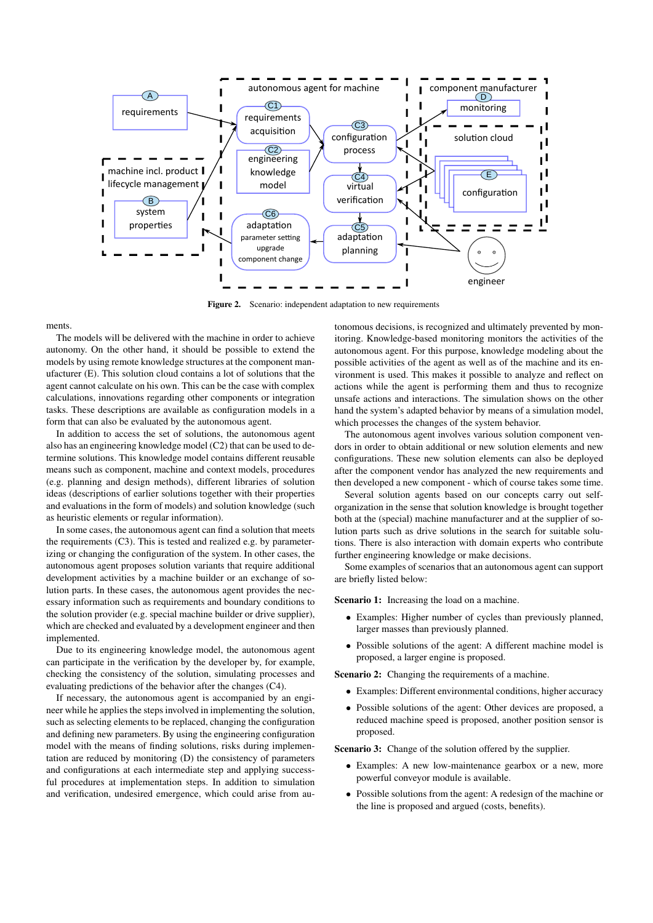

<span id="page-2-0"></span>Figure 2. Scenario: independent adaptation to new requirements

ments.

The models will be delivered with the machine in order to achieve autonomy. On the other hand, it should be possible to extend the models by using remote knowledge structures at the component manufacturer (E). This solution cloud contains a lot of solutions that the agent cannot calculate on his own. This can be the case with complex calculations, innovations regarding other components or integration tasks. These descriptions are available as configuration models in a form that can also be evaluated by the autonomous agent.

In addition to access the set of solutions, the autonomous agent also has an engineering knowledge model (C2) that can be used to determine solutions. This knowledge model contains different reusable means such as component, machine and context models, procedures (e.g. planning and design methods), different libraries of solution ideas (descriptions of earlier solutions together with their properties and evaluations in the form of models) and solution knowledge (such as heuristic elements or regular information).

In some cases, the autonomous agent can find a solution that meets the requirements (C3). This is tested and realized e.g. by parameterizing or changing the configuration of the system. In other cases, the autonomous agent proposes solution variants that require additional development activities by a machine builder or an exchange of solution parts. In these cases, the autonomous agent provides the necessary information such as requirements and boundary conditions to the solution provider (e.g. special machine builder or drive supplier), which are checked and evaluated by a development engineer and then implemented.

Due to its engineering knowledge model, the autonomous agent can participate in the verification by the developer by, for example, checking the consistency of the solution, simulating processes and evaluating predictions of the behavior after the changes (C4).

If necessary, the autonomous agent is accompanied by an engineer while he applies the steps involved in implementing the solution, such as selecting elements to be replaced, changing the configuration and defining new parameters. By using the engineering configuration model with the means of finding solutions, risks during implementation are reduced by monitoring (D) the consistency of parameters and configurations at each intermediate step and applying successful procedures at implementation steps. In addition to simulation and verification, undesired emergence, which could arise from au-

tonomous decisions, is recognized and ultimately prevented by monitoring. Knowledge-based monitoring monitors the activities of the autonomous agent. For this purpose, knowledge modeling about the possible activities of the agent as well as of the machine and its environment is used. This makes it possible to analyze and reflect on actions while the agent is performing them and thus to recognize unsafe actions and interactions. The simulation shows on the other hand the system's adapted behavior by means of a simulation model, which processes the changes of the system behavior.

The autonomous agent involves various solution component vendors in order to obtain additional or new solution elements and new configurations. These new solution elements can also be deployed after the component vendor has analyzed the new requirements and then developed a new component - which of course takes some time.

Several solution agents based on our concepts carry out selforganization in the sense that solution knowledge is brought together both at the (special) machine manufacturer and at the supplier of solution parts such as drive solutions in the search for suitable solutions. There is also interaction with domain experts who contribute further engineering knowledge or make decisions.

Some examples of scenarios that an autonomous agent can support are briefly listed below:

Scenario 1: Increasing the load on a machine.

- Examples: Higher number of cycles than previously planned, larger masses than previously planned.
- Possible solutions of the agent: A different machine model is proposed, a larger engine is proposed.

Scenario 2: Changing the requirements of a machine.

- Examples: Different environmental conditions, higher accuracy
- Possible solutions of the agent: Other devices are proposed, a reduced machine speed is proposed, another position sensor is proposed.

Scenario 3: Change of the solution offered by the supplier.

- Examples: A new low-maintenance gearbox or a new, more powerful conveyor module is available.
- Possible solutions from the agent: A redesign of the machine or the line is proposed and argued (costs, benefits).